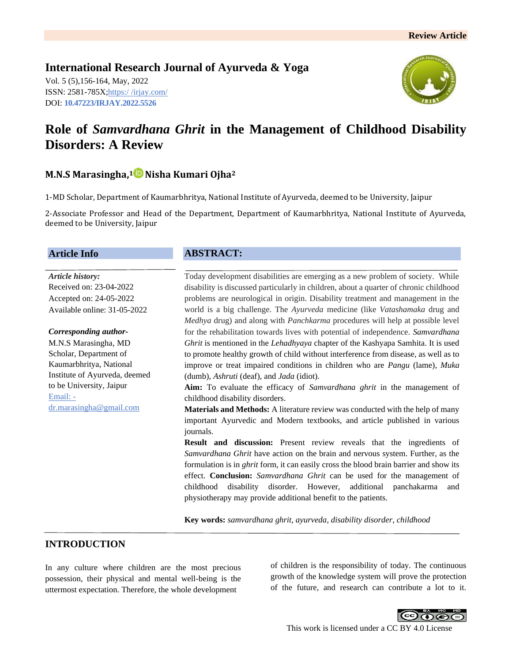**International Research Journal of Ayurveda & Yoga** Vol. 5 (5),156-164, May, 2022 ISSN: 2581-785X; https:/ [/irjay.com/](https://irjay.com/) DOI: **10.47223/IRJAY.2022.5526**



# **Role of** *Samvardhana Ghrit* **in the Management of Childhood Disability Disorders: A Review**

# **M.N.S Marasingha, <sup>1</sup> Nisha Kumari Ojha<sup>2</sup>**

1-MD Scholar, Department of Kaumarbhritya, National Institute of Ayurveda, deemed to be University, Jaipur

2-Associate Professor and Head of the Department, Department of Kaumarbhritya, National Institute of Ayurveda, deemed to be University, Jaipur

#### **Article Info**

*Article history:* Received on: 23-04-2022 Accepted on: 24-05-2022 Available online: 31-05-2022

#### *Corresponding author-*

M.N.S Marasingha, MD Scholar, Department of Kaumarbhritya, National Institute of Ayurveda, deemed to be University, Jaipur Email: dr.marasingha@gmail.com

### **ABSTRACT:**

Today development disabilities are emerging as a new problem of society. While disability is discussed particularly in children, about a quarter of chronic childhood problems are neurological in origin. Disability treatment and management in the world is a big challenge. The *Ayurveda* medicine (like *Vatashamaka* drug and *Medhya* drug) and along with *Panchkarma* procedures will help at possible level for the rehabilitation towards lives with potential of independence. *Samvardhana Ghrit* is mentioned in the *Lehadhyaya* chapter of the Kashyapa Samhita. It is used to promote healthy growth of child without interference from disease, as well as to improve or treat impaired conditions in children who are *Pangu* (lame), *Muka* (dumb), *Ashruti* (deaf), and *Jada* (idiot).

**Aim:** To evaluate the efficacy of *Samvardhana ghrit* in the management of childhood disability disorders.

**Materials and Methods:** A literature review was conducted with the help of many important Ayurvedic and Modern textbooks, and article published in various journals.

**Result and discussion:** Present review reveals that the ingredients of *Samvardhana Ghrit* have action on the brain and nervous system. Further, as the formulation is in *ghrit* form, it can easily cross the blood brain barrier and show its effect. **Conclusion:** *Samvardhana Ghrit* can be used for the management of childhood disability disorder. However, additional panchakarma and physiotherapy may provide additional benefit to the patients.

**Key words:** *samvardhana ghrit*, *ayurveda*, *disability disorder*, *childhood*

### **INTRODUCTION**

In any culture where children are the most precious possession, their physical and mental well-being is the uttermost expectation. Therefore, the whole development

of children is the responsibility of today. The continuous growth of the knowledge system will prove the protection of the future, and research can contribute a lot to it.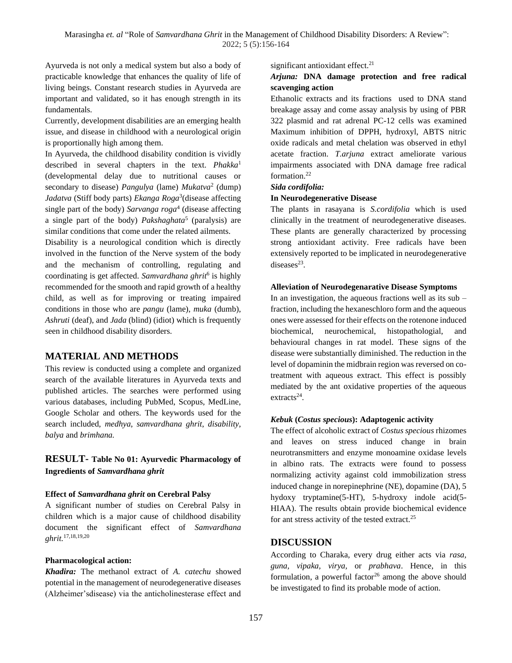Ayurveda is not only a medical system but also a body of practicable knowledge that enhances the quality of life of living beings. Constant research studies in Ayurveda are important and validated, so it has enough strength in its fundamentals.

Currently, development disabilities are an emerging health issue, and disease in childhood with a neurological origin is proportionally high among them.

In Ayurveda, the childhood disability condition is vividly described in several chapters in the text. *Phakka*<sup>1</sup> (developmental delay due to nutritional causes or secondary to disease) *Pangulya* (lame) *Mukatva*<sup>2</sup> (dump) *Jadatva* (Stiff body parts) *Ekanga Roga*<sup>3</sup> (disease affecting single part of the body) *Sarvanga roga*<sup>4</sup> (disease affecting a single part of the body) *Pakshaghata*<sup>5</sup> (paralysis) are similar conditions that come under the related ailments.

Disability is a neurological condition which is directly involved in the function of the Nerve system of the body and the mechanism of controlling, regulating and coordinating is get affected. *Samvardhana ghrit*<sup>6</sup> is highly recommended for the smooth and rapid growth of a healthy child, as well as for improving or treating impaired conditions in those who are *pangu* (lame), *muka* (dumb), *Ashruti* (deaf), and *Jada* (blind) (idiot) which is frequently seen in childhood disability disorders.

### **MATERIAL AND METHODS**

This review is conducted using a complete and organized search of the available literatures in Ayurveda texts and published articles. The searches were performed using various databases, including PubMed, Scopus, MedLine, Google Scholar and others. The keywords used for the search included, *medhya*, *samvardhana ghrit*, *disability*, *balya* and *brimhana.*

### **RESULT- Table No 01: Ayurvedic Pharmacology of Ingredients of** *Samvardhana ghrit*

#### **Effect of** *Samvardhana ghrit* **on Cerebral Palsy**

A significant number of studies on Cerebral Palsy in children which is a major cause of childhood disability document the significant effect of *Samvardhana ghrit.*17,18,19,20

#### **Pharmacological action:**

*Khadira:* The methanol extract of *A. catechu* showed potential in the management of neurodegenerative diseases (Alzheimer'sdisease) via the anticholinesterase effect and significant antioxidant effect.<sup>21</sup>

### *Arjuna:* **DNA damage protection and free radical scavenging action**

Ethanolic extracts and its fractions used to DNA stand breakage assay and come assay analysis by using of PBR 322 plasmid and rat adrenal PC-12 cells was examined Maximum inhibition of DPPH, hydroxyl, ABTS nitric oxide radicals and metal chelation was observed in ethyl acetate fraction. *T.arjuna* extract ameliorate various impairments associated with DNA damage free radical formation. 22

#### *Sida cordifolia:*

#### **In Neurodegenerative Disease**

The plants in rasayana is *S.cordifolia* which is used clinically in the treatment of neurodegenerative diseases. These plants are generally characterized by processing strong antioxidant activity. Free radicals have been extensively reported to be implicated in neurodegenerative diseases $^{23}$ .

#### **Alleviation of Neurodegenarative Disease Symptoms**

In an investigation, the aqueous fractions well as its  $sub$ fraction, including the hexaneschloro form and the aqueous ones were assessed for their effects on the rotenone induced biochemical, neurochemical, histopathologial, and behavioural changes in rat model. These signs of the disease were substantially diminished. The reduction in the level of dopaminin the midbrain region was reversed on cotreatment with aqueous extract. This effect is possibly mediated by the ant oxidative properties of the aqueous extracts<sup>24</sup>.

#### *Kebuk* **(***Costus specious***): Adaptogenic activity**

The effect of alcoholic extract of *Costus specious* rhizomes and leaves on stress induced change in brain neurotransmitters and enzyme monoamine oxidase levels in albino rats. The extracts were found to possess normalizing activity against cold immobilization stress induced change in norepinephrine (NE), dopamine (DA), 5 hydoxy tryptamine(5-HT), 5-hydroxy indole acid(5- HIAA). The results obtain provide biochemical evidence for ant stress activity of the tested extract.<sup>25</sup>

#### **DISCUSSION**

According to Charaka, every drug either acts via *rasa, guna, vipaka, virya,* or *prabhava*. Hence, in this formulation, a powerful factor<sup>26</sup> among the above should be investigated to find its probable mode of action.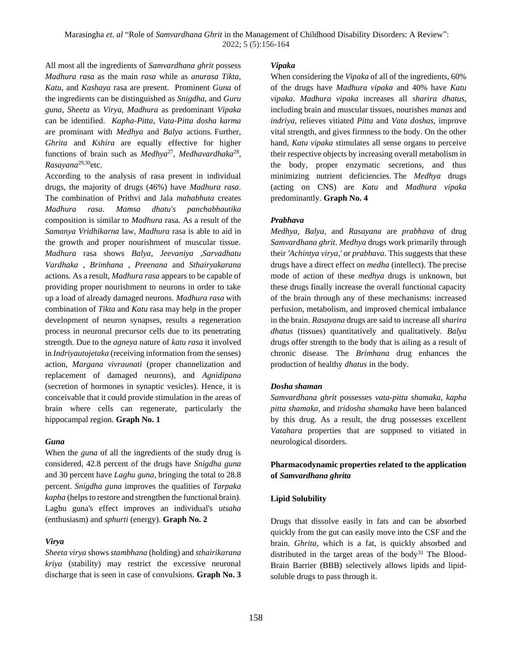All most all the ingredients of *Samvardhana ghrit* possess *Madhura rasa* as the main *rasa* while as *anurasa Tikta*, *Katu*, and *Kashaya* rasa are present. Prominent *Guna* of the ingredients can be distinguished as *Snigdha*, and *Guru guna*, *Sheeta* as *Virya*, *Madhura* as predominant *Vipaka* can be identified. *Kapha*-*Pitta*, *Vata*-*Pitta dosha karma* are prominant with *Medhya* and *Balya* actions. Further, *Ghrita* and *Kshira* are equally effective for higher functions of brain such as *Medhya*<sup>27</sup>, *Medhavardhaka*<sup>28</sup>, *Rasayana*29,30etc.

According to the analysis of rasa present in individual drugs, the majority of drugs (46%) have *Madhura rasa*. The combination of Prithvi and Jala *mahabhuta* creates *Madhura rasa*. *Mamsa dhatu's panchabhautika* composition is similar to *Madhura* rasa. As a result of the *Samanya Vridhikarna* law, *Madhura* rasa is able to aid in the growth and proper nourishment of muscular tissue. *Madhura* rasa shows *Balya*, *Jeevaniya* ,*Sarvadhatu Vardhaka* , *Brimhana* , *Preenana* and *Sthairyakarana* actions. As a result, *Madhura rasa* appears to be capable of providing proper nourishment to neurons in order to take up a load of already damaged neurons. *Madhura rasa* with combination of *Tikta* and *Katu* rasa may help in the proper development of neuron synapses, results a regeneration process in neuronal precursor cells due to its penetrating strength. Due to the *agneya* nature of *katu rasa* it involved in *Indriyautojetaka* (receiving information from the senses) action, *Margana vivraunati* (proper channelization and replacement of damaged neurons), and *Agnidipana* (secretion of hormones in synaptic vesicles). Hence, it is conceivable that it could provide stimulation in the areas of brain where cells can regenerate, particularly the hippocampal region. **Graph No. 1**

#### *Guna*

When the *guna* of all the ingredients of the study drug is considered, 42.8 percent of the drugs have *Snigdha guna* and 30 percent have *Laghu guna*, bringing the total to 28.8 percent. *Snigdha guna* improves the qualities of *Tarpaka kapha* (helps to restore and strengthen the functional brain). Laghu guna's effect improves an individual's *utsaha* (enthusiasm) and *sphurti* (energy). **Graph No. 2**

### *Virya*

*Sheeta virya* shows *stambhana* (holding) and *sthairikarana kriya* (stability) may restrict the excessive neuronal discharge that is seen in case of convulsions. **Graph No. 3**

#### *Vipaka*

When considering the *Vipaka* of all of the ingredients, 60% of the drugs have *Madhura vipaka* and 40% have *Katu vipaka*. *Madhura vipaka* increases all *sharira dhatus*, including brain and muscular tissues, nourishes *manas* and *indriya*, relieves vitiated *Pitta* and *Vata doshas*, improve vital strength, and gives firmness to the body. On the other hand, *Katu vipaka* stimulates all sense organs to perceive their respective objects by increasing overall metabolism in the body, proper enzymatic secretions, and thus minimizing nutrient deficiencies. The *Medhya* drugs (acting on CNS) are *Katu* and *Madhura vipaka* predominantly. **Graph No. 4**

#### *Prabhava*

*Medhya*, *Balya*, and *Rasayana* are *prabhava* of drug *Samvardhana ghrit*. *Medhya* drugs work primarily through their *'Achintya virya*,' or *prabhava*. This suggests that these drugs have a direct effect on *medha* (intellect). The precise mode of action of these *medhya* drugs is unknown, but these drugs finally increase the overall functional capacity of the brain through any of these mechanisms: increased perfusion, metabolism, and improved chemical imbalance in the brain. *Rasayana* drugs are said to increase all *sharira dhatus* (tissues) quantitatively and qualitatively. *Balya* drugs offer strength to the body that is ailing as a result of chronic disease. The *Brimhana* drug enhances the production of healthy *dhatus* in the body.

### *Dosha shaman*

*Samvardhana ghrit* possesses *vata-pitta shamaka*, *kapha pitta shamaka*, and *tridosha shamaka* have been balanced by this drug. As a result, the drug possesses excellent *Vatahara* properties that are supposed to vitiated in neurological disorders.

### **Pharmacodynamic properties related to the application of** *Samvardhana ghrita*

#### **Lipid Solubility**

Drugs that dissolve easily in fats and can be absorbed quickly from the gut can easily move into the CSF and the brain. *Ghrita*, which is a fat, is quickly absorbed and distributed in the target areas of the body<sup>31</sup> The Blood-Brain Barrier (BBB) selectively allows lipids and lipidsoluble drugs to pass through it.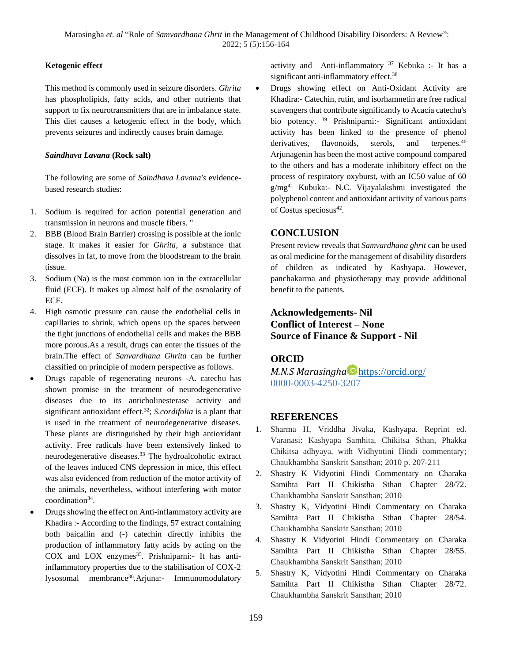#### **Ketogenic effect**

This method is commonly used in seizure disorders. *Ghrita* has phospholipids, fatty acids, and other nutrients that support to fix neurotransmitters that are in imbalance state. This diet causes a ketogenic effect in the body, which prevents seizures and indirectly causes brain damage.

#### *Saindhava Lavana* **(Rock salt)**

The following are some of *Saindhava Lavana's* evidencebased research studies:

- 1. Sodium is required for action potential generation and transmission in neurons and muscle fibers. "
- 2. BBB (Blood Brain Barrier) crossing is possible at the ionic stage. It makes it easier for *Ghrita*, a substance that dissolves in fat, to move from the bloodstream to the brain tissue.
- 3. Sodium (Na) is the most common ion in the extracellular fluid (ECF). It makes up almost half of the osmolarity of ECF.
- 4. High osmotic pressure can cause the endothelial cells in capillaries to shrink, which opens up the spaces between the tight junctions of endothelial cells and makes the BBB more porous.As a result, drugs can enter the tissues of the brain.The effect of *Sanvardhana Ghrita* can be further classified on principle of modern perspective as follows.
- Drugs capable of regenerating neurons -A. catechu has shown promise in the treatment of neurodegenerative diseases due to its anticholinesterase activity and significant antioxidant effect.<sup>32</sup>; *S.cordifolia* is a plant that is used in the treatment of neurodegenerative diseases. These plants are distinguished by their high antioxidant activity. Free radicals have been extensively linked to neurodegenerative diseases.<sup>33</sup> The hydroalcoholic extract of the leaves induced CNS depression in mice, this effect was also evidenced from reduction of the motor activity of the animals, nevertheless, without interfering with motor coordination<sup>34</sup>.
- Drugs showing the effect on Anti-inflammatory activity are Khadira :- According to the findings, 57 extract containing both baicallin and (-) catechin directly inhibits the production of inflammatory fatty acids by acting on the COX and LOX enzymes<sup>35</sup>. Prishniparni:- It has antiinflammatory properties due to the stabilisation of COX-2 lysosomal membrance<sup>36</sup>. Arjuna:- Immunomodulatory

activity and Anti-inflammatory  $37$  Kebuka :- It has a significant anti-inflammatory effect.<sup>38</sup>

• Drugs showing effect on Anti-Oxidant Activity are Khadira:- Catechin, rutin, and isorhamnetin are free radical scavengers that contribute significantly to Acacia catechu's bio potency. <sup>39</sup> Prishniparni:- Significant antioxidant activity has been linked to the presence of phenol derivatives, flavonoids, sterols, and terpenes.<sup>40</sup> Arjunagenin has been the most active compound compared to the others and has a moderate inhibitory effect on the process of respiratory oxyburst, with an IC50 value of 60  $g/mg<sup>41</sup>$  Kubuka:- N.C. Vijayalakshmi investigated the polyphenol content and antioxidant activity of various parts of Costus speciosus<sup>42</sup>.

# **CONCLUSION**

Present review reveals that *Samvardhana ghrit* can be used as oral medicine for the management of disability disorders of children as indicated by Kashyapa. However, panchakarma and physiotherapy may provide additional benefit to the patients.

# **Acknowledgements- Nil Conflict of Interest – None Source of Finance & Support - Nil**

# **ORCID**

*M.N.S Marasingha* <https://orcid.org/> 0000-0003-4250-3207

## **REFERENCES**

- 1. Sharma H, Vriddha Jivaka, Kashyapa. Reprint ed. Varanasi: Kashyapa Samhita, Chikitsa Sthan, Phakka Chikitsa adhyaya, with Vidhyotini Hindi commentary; Chaukhambha Sanskrit Sansthan; 2010 p. 207-211
- 2. Shastry K Vidyotini Hindi Commentary on Charaka Samihta Part II Chikistha Sthan Chapter 28/72. Chaukhambha Sanskrit Sansthan; 2010
- 3. Shastry K, Vidyotini Hindi Commentary on Charaka Samihta Part II Chikistha Sthan Chapter 28/54. Chaukhambha Sanskrit Sansthan; 2010
- 4. Shastry K Vidyotini Hindi Commentary on Charaka Samihta Part II Chikistha Sthan Chapter 28/55. Chaukhambha Sanskrit Sansthan; 2010
- 5. Shastry K, Vidyotini Hindi Commentary on Charaka Samihta Part II Chikistha Sthan Chapter 28/72. Chaukhambha Sanskrit Sansthan; 2010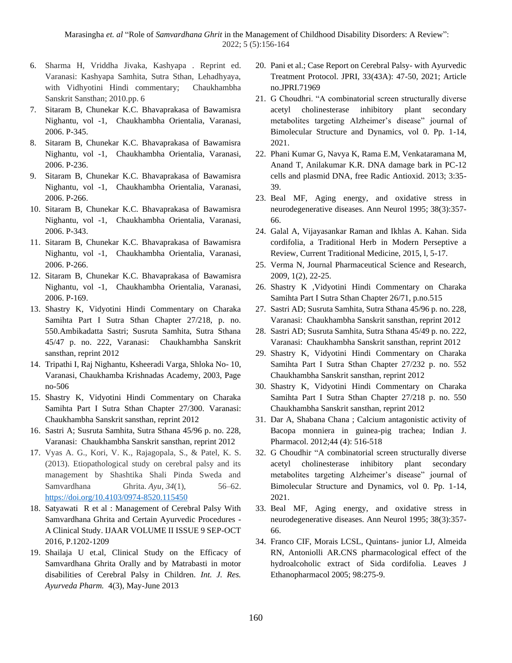- 6. Sharma H, Vriddha Jivaka, Kashyapa . Reprint ed. Varanasi: Kashyapa Samhita, Sutra Sthan, Lehadhyaya, with Vidhyotini Hindi commentary; Chaukhambha Sanskrit Sansthan; 2010.pp. 6
- 7. Sitaram B, Chunekar K.C. Bhavaprakasa of Bawamisra Nighantu, vol -1, Chaukhambha Orientalia, Varanasi, 2006. P-345.
- 8. Sitaram B, Chunekar K.C. Bhavaprakasa of Bawamisra Nighantu, vol -1, Chaukhambha Orientalia, Varanasi, 2006. P-236.
- 9. Sitaram B, Chunekar K.C. Bhavaprakasa of Bawamisra Nighantu, vol -1, Chaukhambha Orientalia, Varanasi, 2006. P-266.
- 10. Sitaram B, Chunekar K.C. Bhavaprakasa of Bawamisra Nighantu, vol -1, Chaukhambha Orientalia, Varanasi, 2006. P-343.
- 11. Sitaram B, Chunekar K.C. Bhavaprakasa of Bawamisra Nighantu, vol -1, Chaukhambha Orientalia, Varanasi, 2006. P-266.
- 12. Sitaram B, Chunekar K.C. Bhavaprakasa of Bawamisra Nighantu, vol -1, Chaukhambha Orientalia, Varanasi, 2006. P-169.
- 13. Shastry K, Vidyotini Hindi Commentary on Charaka Samihta Part I Sutra Sthan Chapter 27/218, p. no. 550.Ambikadatta Sastri; Susruta Samhita, Sutra Sthana 45/47 p. no. 222, Varanasi: Chaukhambha Sanskrit sansthan, reprint 2012
- 14. Tripathi I, Raj Nighantu, Ksheeradi Varga, Shloka No- 10, Varanasi, Chaukhamba Krishnadas Academy, 2003, Page no-506
- 15. Shastry K, Vidyotini Hindi Commentary on Charaka Samihta Part I Sutra Sthan Chapter 27/300. Varanasi: Chaukhambha Sanskrit sansthan, reprint 2012
- 16. Sastri A; Susruta Samhita, Sutra Sthana 45/96 p. no. 228, Varanasi: Chaukhambha Sanskrit sansthan, reprint 2012
- 17. Vyas A. G., Kori, V. K., Rajagopala, S., & Patel, K. S. (2013). Etiopathological study on cerebral palsy and its management by Shashtika Shali Pinda Sweda and Samvardhana Ghrita. *Ayu*, *34*(1), 56–62. <https://doi.org/10.4103/0974-8520.115450>
- 18. Satyawati R et al : Management of Cerebral Palsy With Samvardhana Ghrita and Certain Ayurvedic Procedures - A Clinical Study. IJAAR VOLUME II ISSUE 9 SEP-OCT 2016, P.1202-1209
- 19. Shailaja U et.al, Clinical Study on the Efficacy of Samvardhana Ghrita Orally and by Matrabasti in motor disabilities of Cerebral Palsy in Children. *Int. J. Res. Ayurveda Pharm.* 4(3), May-June 2013
- 20. Pani et al.; Case Report on Cerebral Palsy- with Ayurvedic Treatment Protocol. JPRI, 33(43A): 47-50, 2021; Article no.JPRI.71969
- 21. G Choudhri. "A combinatorial screen structurally diverse acetyl cholinesterase inhibitory plant secondary metabolites targeting Alzheimer's disease" journal of Bimolecular Structure and Dynamics, vol 0. Pp. 1-14, 2021.
- 22. Phani Kumar G, Navya K, Rama E.M, Venkataramana M, Anand T, Anilakumar K.R. DNA damage bark in PC-12 cells and plasmid DNA, free Radic Antioxid. 2013; 3:35- 39.
- 23. Beal MF, Aging energy, and oxidative stress in neurodegenerative diseases. Ann Neurol 1995; 38(3):357- 66.
- 24. Galal A, Vijayasankar Raman and Ikhlas A. Kahan. Sida cordifolia, a Traditional Herb in Modern Perseptive a Review, Current Traditional Medicine, 2015, l, 5-17.
- 25. Verma N, Journal Pharmaceutical Science and Research, 2009, 1(2), 22-25.
- 26. Shastry K ,Vidyotini Hindi Commentary on Charaka Samihta Part I Sutra Sthan Chapter 26/71, p.no.515
- 27. Sastri AD; Susruta Samhita, Sutra Sthana 45/96 p. no. 228, Varanasi: Chaukhambha Sanskrit sansthan, reprint 2012
- 28. Sastri AD; Susruta Samhita, Sutra Sthana 45/49 p. no. 222, Varanasi: Chaukhambha Sanskrit sansthan, reprint 2012
- 29. Shastry K, Vidyotini Hindi Commentary on Charaka Samihta Part I Sutra Sthan Chapter 27/232 p. no. 552 Chaukhambha Sanskrit sansthan, reprint 2012
- 30. Shastry K, Vidyotini Hindi Commentary on Charaka Samihta Part I Sutra Sthan Chapter 27/218 p. no. 550 Chaukhambha Sanskrit sansthan, reprint 2012
- 31. Dar A, Shabana Chana ; Calcium antagonistic activity of Bacopa monniera in guinea-pig trachea; Indian J. Pharmacol. 2012;44 (4): 516-518
- 32. G Choudhir "A combinatorial screen structurally diverse acetyl cholinesterase inhibitory plant secondary metabolites targeting Alzheimer's disease" journal of Bimolecular Structure and Dynamics, vol 0. Pp. 1-14, 2021.
- 33. Beal MF, Aging energy, and oxidative stress in neurodegenerative diseases. Ann Neurol 1995; 38(3):357- 66.
- 34. Franco CIF, Morais LCSL, Quintans- junior LJ, Almeida RN, Antoniolli AR.CNS pharmacological effect of the hydroalcoholic extract of Sida cordifolia. Leaves J Ethanopharmacol 2005; 98:275-9.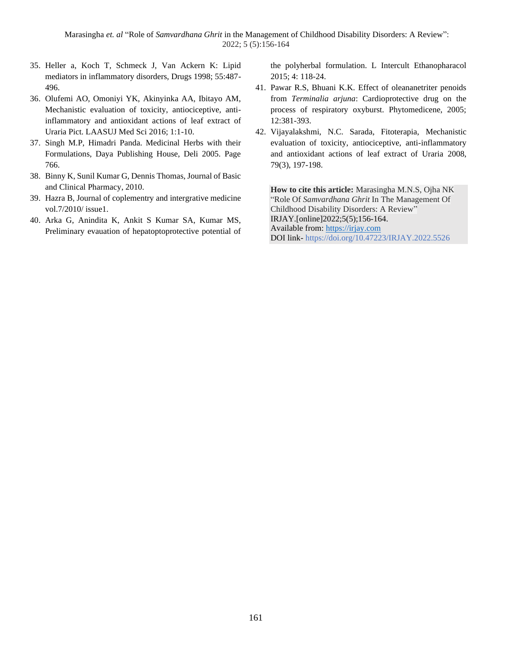Marasingha *et. al* "Role of *Samvardhana Ghrit* in the Management of Childhood Disability Disorders: A Review": 2022; 5 (5):156-164

- 35. Heller a, Koch T, Schmeck J, Van Ackern K: Lipid mediators in inflammatory disorders, Drugs 1998; 55:487- 496.
- 36. Olufemi AO, Omoniyi YK, Akinyinka AA, Ibitayo AM, Mechanistic evaluation of toxicity, antiociceptive, antiinflammatory and antioxidant actions of leaf extract of Uraria Pict. LAASUJ Med Sci 2016; 1:1-10.
- 37. Singh M.P, Himadri Panda. Medicinal Herbs with their Formulations, Daya Publishing House, Deli 2005. Page 766.
- 38. Binny K, Sunil Kumar G, Dennis Thomas, Journal of Basic and Clinical Pharmacy, 2010.
- 39. Hazra B, Journal of coplementry and intergrative medicine vol.7/2010/ issue1.
- 40. Arka G, Anindita K, Ankit S Kumar SA, Kumar MS, Preliminary evauation of hepatoptoprotective potential of

the polyherbal formulation. L Intercult Ethanopharacol 2015; 4: 118-24.

- 41. Pawar R.S, Bhuani K.K. Effect of oleananetriter penoids from *Terminalia arjuna*: Cardioprotective drug on the process of respiratory oxyburst. Phytomedicene, 2005; 12:381-393.
- 42. Vijayalakshmi, N.C. Sarada, Fitoterapia, Mechanistic evaluation of toxicity, antiociceptive, anti-inflammatory and antioxidant actions of leaf extract of Uraria 2008, 79(3), 197-198.

**How to cite this article:** Marasingha M.N.S, Ojha NK "Role Of *Samvardhana Ghrit* In The Management Of Childhood Disability Disorders: A Review" IRJAY.[online]2022;5(5);156-164. Available from: [https://irjay.com](https://irjay.com/) DOI link- https://doi.org/10.47223/IRJAY.2022.5526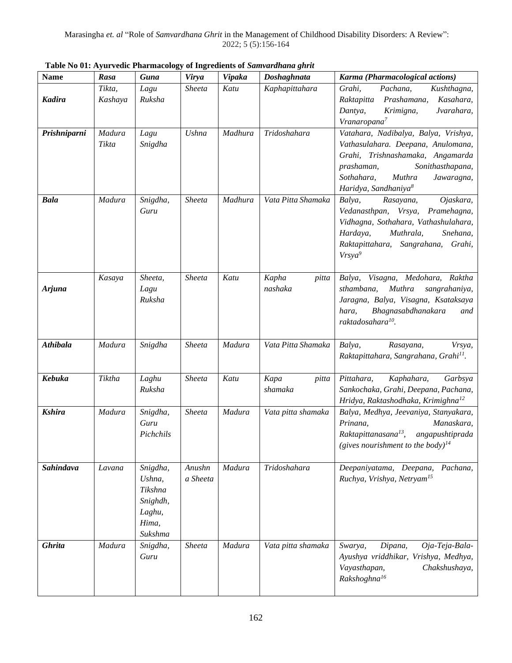| <b>Name</b>     | Rasa              | <b>Guna</b>                                                             | Virya              | <b>Vipaka</b> | and carents of summarinance given<br>Doshaghnata | Karma (Pharmacological actions)                                                                                                                                                                                            |
|-----------------|-------------------|-------------------------------------------------------------------------|--------------------|---------------|--------------------------------------------------|----------------------------------------------------------------------------------------------------------------------------------------------------------------------------------------------------------------------------|
| <b>Kadira</b>   | Tikta,<br>Kashaya | Lagu<br>Ruksha                                                          | Sheeta             | Katu          | Kaphapittahara                                   | Grahi,<br>Pachana,<br>Kushthagna,<br>Prashamana,<br>Kasahara,<br>Raktapitta<br>Jvarahara,<br>Dantya,<br>Krimigna,<br>Vranaropana <sup>7</sup>                                                                              |
| Prishniparni    | Madura<br>Tikta   | Lagu<br>Snigdha                                                         | Ushna              | Madhura       | Tridoshahara                                     | Vatahara, Nadibalya, Balya, Vrishya,<br>Vathasulahara. Deepana, Anulomana,<br>Grahi, Trishnashamaka, Angamarda<br>prashaman,<br>Sonithasthapana,<br>Sothahara,<br>Muthra<br>Jawaragna,<br>Haridya, Sandhaniya <sup>8</sup> |
| <b>Bala</b>     | Madura            | Snigdha,<br>Guru                                                        | Sheeta             | Madhura       | Vata Pitta Shamaka                               | Balya,<br>Rasayana,<br>Ojaskara,<br>Vedanasthpan, Vrsya, Pramehagna,<br>Vidhagna, Sothahara, Vathashulahara,<br>Hardaya,<br>Muthrala,<br>Snehana,<br>Raktapittahara, Sangrahana, Grahi,<br>Vrsya <sup>9</sup>              |
| Arjuna          | Kasaya            | Sheeta,<br>Lagu<br>Ruksha                                               | Sheeta             | Katu          | Kapha<br>pitta<br>nashaka                        | Balya, Visagna, Medohara, Raktha<br>sthambana,<br>Muthra<br>sangrahaniya,<br>Jaragna, Balya, Visagna, Ksataksaya<br>Bhagnasabdhanakara<br>hara,<br>and<br>raktadosahara <sup>10</sup> .                                    |
| <b>Athibala</b> | Madura            | Snigdha                                                                 | Sheeta             | Madura        | Vata Pitta Shamaka                               | Balya,<br>Rasayana,<br>Vrsya,<br>Raktapittahara, Sangrahana, Grahi <sup>11</sup> .                                                                                                                                         |
| Kebuka          | Tiktha            | Laghu<br>Ruksha                                                         | Sheeta             | Katu          | Kapa<br>pitta<br>shamaka                         | Kaphahara,<br>Garbsya<br>Pittahara,<br>Sankochaka, Grahi, Deepana, Pachana,<br>Hridya, Raktashodhaka, Krimighna <sup>12</sup>                                                                                              |
| <b>Kshira</b>   | Madura            | Snigdha,<br>Guru<br>Pichchils                                           | Sheeta             | Madura        | Vata pitta shamaka                               | Balya, Medhya, Jeevaniya, Stanyakara,<br>Prinana,<br>Manaskara,<br>Raktapittanasana <sup>13</sup> , angapushtiprada<br>(gives nourishment to the body) <sup>14</sup>                                                       |
| Sahindava       | Lavana            | Snigdha,<br>Ushna,<br>Tikshna<br>Snighdh,<br>Laghu,<br>Hima,<br>Sukshma | Anushn<br>a Sheeta | Madura        | Tridoshahara                                     | Deepaniyatama, Deepana,<br>Pachana,<br>Ruchya, Vrishya, Netryam <sup>15</sup>                                                                                                                                              |
| <b>Ghrita</b>   | Madura            | Snigdha,<br>Guru                                                        | Sheeta             | Madura        | Vata pitta shamaka                               | Swarya,<br>Dipana,<br>Oja-Teja-Bala-<br>Ayushya vriddhikar, Vrishya, Medhya,<br>Vayasthapan,<br>Chakshushaya,<br>Rakshoghna <sup>16</sup>                                                                                  |

**Table No 01: Ayurvedic Pharmacology of Ingredients of** *Samvardhana ghrit*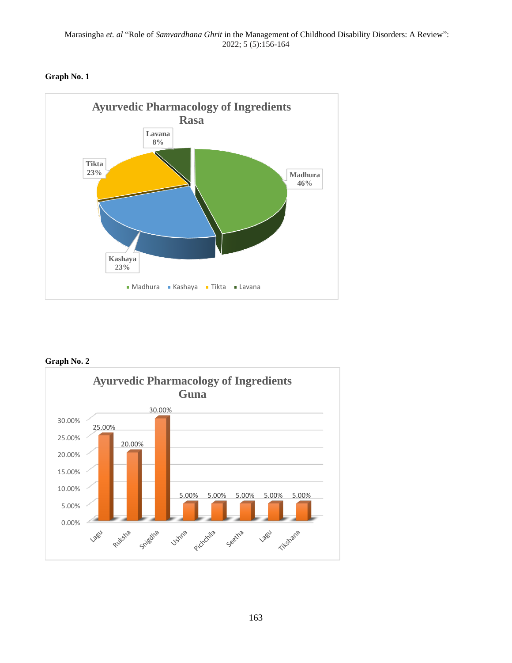



### **Graph No. 2**